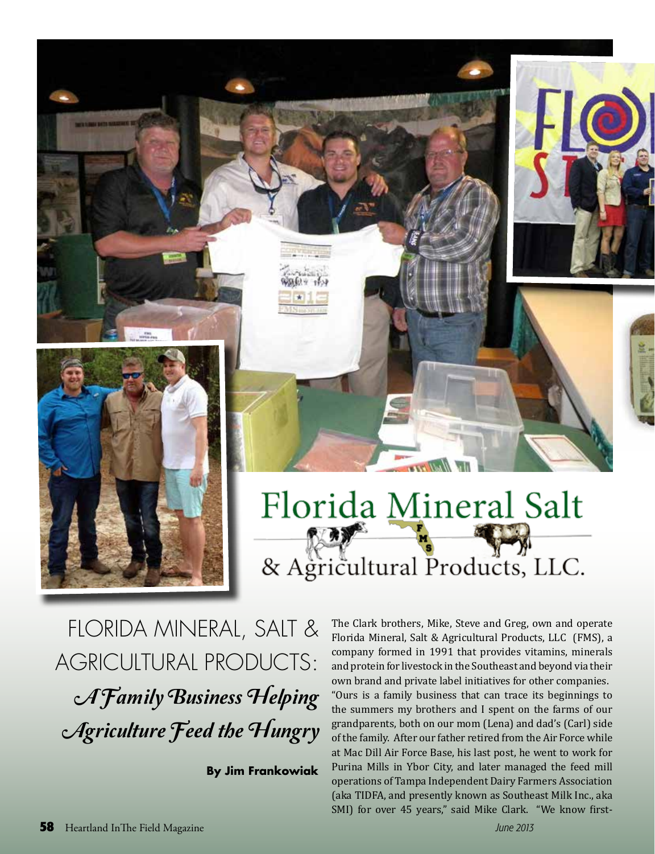

## Florida Mineral Salt & Agricultural Products, LLC.

FLORIDA MINERAL, SALT & **AGRICULTURAL PRODUCTS:** A Family Business Helping Agriculture Feed the Hungry

**By Jim Frankowiak** 

The Clark brothers, Mike, Steve and Greg, own and operate Florida Mineral, Salt & Agricultural Products, LLC (FMS), a company formed in 1991 that provides vitamins, minerals and protein for livestock in the Southeast and beyond via their own brand and private label initiatives for other companies. "Ours is a family business that can trace its beginnings to the summers my brothers and I spent on the farms of our grandparents, both on our mom (Lena) and dad's (Carl) side of the family. After our father retired from the Air Force while at Mac Dill Air Force Base, his last post, he went to work for Purina Mills in Ybor City, and later managed the feed mill operations of Tampa Independent Dairy Farmers Association (aka TIDFA, and presently known as Southeast Milk Inc., aka SMI) for over 45 years," said Mike Clark. "We know first-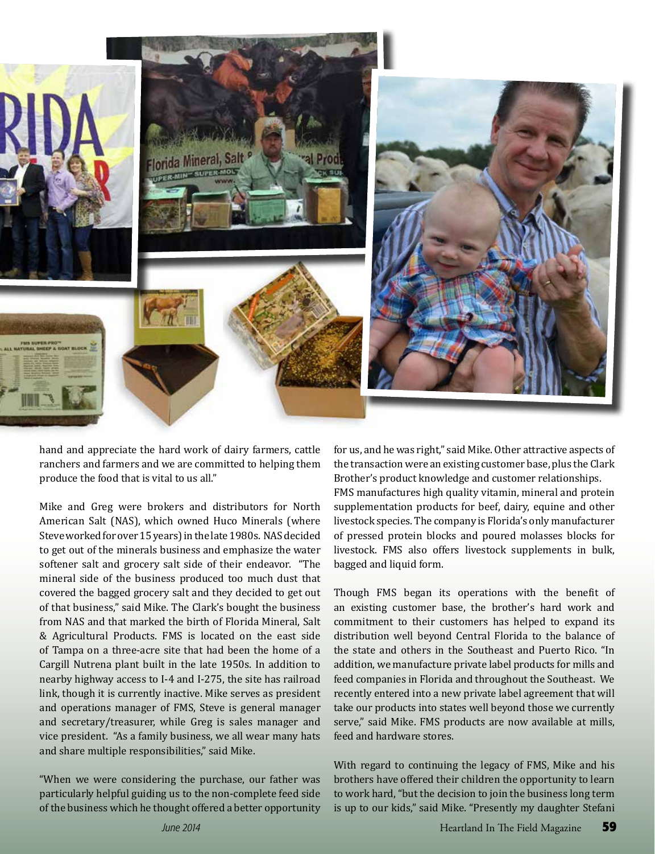

hand and appreciate the hard work of dairy farmers, cattle ranchers and farmers and we are committed to helping them produce the food that is vital to us all."

Mike and Greg were brokers and distributors for North American Salt (NAS), which owned Huco Minerals (where Steve worked for over 15 years) in the late 1980s. NAS decided to get out of the minerals business and emphasize the water softener salt and grocery salt side of their endeavor. "The mineral side of the business produced too much dust that covered the bagged grocery salt and they decided to get out of that business," said Mike. The Clark's bought the business from NAS and that marked the birth of Florida Mineral, Salt & Agricultural Products. FMS is located on the east side of Tampa on a three-acre site that had been the home of a Cargill Nutrena plant built in the late 1950s. In addition to nearby highway access to I-4 and I-275, the site has railroad link, though it is currently inactive. Mike serves as president and operations manager of FMS, Steve is general manager and secretary/treasurer, while Greg is sales manager and vice president. "As a family business, we all wear many hats and share multiple responsibilities," said Mike.

"When we were considering the purchase, our father was particularly helpful guiding us to the non-complete feed side of the business which he thought offered a better opportunity for us, and he was right," said Mike. Other attractive aspects of the transaction were an existing customer base, plus the Clark Brother's product knowledge and customer relationships. FMS manufactures high quality vitamin, mineral and protein supplementation products for beef, dairy, equine and other livestock species. The company is Florida's only manufacturer of pressed protein blocks and poured molasses blocks for livestock. FMS also offers livestock supplements in bulk, bagged and liquid form.

Though FMS began its operations with the benefit of an existing customer base, the brother's hard work and commitment to their customers has helped to expand its distribution well beyond Central Florida to the balance of the state and others in the Southeast and Puerto Rico. "In addition, we manufacture private label products for mills and feed companies in Florida and throughout the Southeast. We recently entered into a new private label agreement that will take our products into states well beyond those we currently serve." said Mike. FMS products are now available at mills, feed and hardware stores.

With regard to continuing the legacy of FMS, Mike and his brothers have offered their children the opportunity to learn to work hard, "but the decision to join the business long term is up to our kids," said Mike. "Presently my daughter Stefani